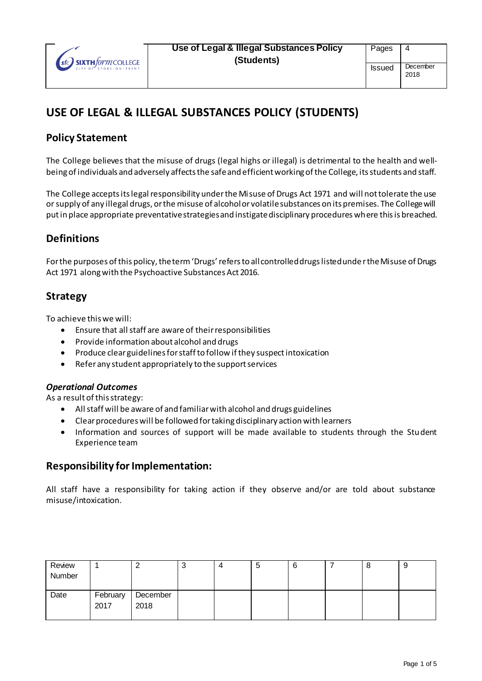

# **USE OF LEGAL & ILLEGAL SUBSTANCES POLICY (STUDENTS)**

### **Policy Statement**

The College believes that the misuse of drugs (legal highs or illegal) is detrimental to the health and wellbeing of individuals and adversely affects the safe and efficient working of the College, its students and staff.

The College accepts its legal responsibility under the Misuse of Drugs Act 1971 and will not tolerate the use or supply of any illegal drugs, or the misuse of alcohol or volatile substances on its premises. The College will put in place appropriate preventative strategies and instigate disciplinary procedures where this is breached.

# **Definitions**

For the purposes of this policy, the term 'Drugs' refers to all controlled drugs listed unde r the Misuse of Drugs Act 1971 along with the Psychoactive Substances Act 2016.

### **Strategy**

To achieve this we will:

- Ensure that all staff are aware of their responsibilities
- Provide information about alcohol and drugs
- Produce clear guidelines for staff to follow if they suspect intoxication
- Refer any student appropriately to the support services

#### *Operational Outcomes*

As a result of this strategy:

- All staff will be aware of and familiar with alcohol and drugs guidelines
- Clear procedures will be followed for taking disciplinary action with learners
- Information and sources of support will be made available to students through the Student Experience team

### **Responsibility for Implementation:**

All staff have a responsibility for taking action if they observe and/or are told about substance misuse/intoxication.

| Review |          |          | ັ | C | 6 | O | y |
|--------|----------|----------|---|---|---|---|---|
| Number |          |          |   |   |   |   |   |
|        |          |          |   |   |   |   |   |
| Date   | February | December |   |   |   |   |   |
|        | 2017     | 2018     |   |   |   |   |   |
|        |          |          |   |   |   |   |   |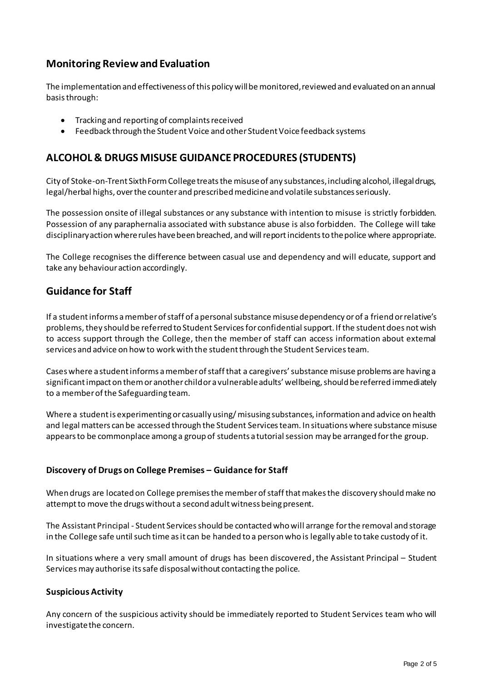### **Monitoring Review and Evaluation**

The implementation and effectiveness of this policy will be monitored, reviewed and evaluated on an annual basis through:

- Tracking and reporting of complaints received
- Feedback through the Student Voice and other Student Voice feedback systems

### **ALCOHOL & DRUGS MISUSE GUIDANCE PROCEDURES (STUDENTS)**

City of Stoke-on-Trent Sixth Form College treats the misuse of any substances, including alcohol, illegal drugs, legal/herbal highs, over the counter and prescribed medicine and volatile substances seriously.

The possession onsite of illegal substances or any substance with intention to misuse is strictly forbidden. Possession of any paraphernalia associated with substance abuse is also forbidden. The College will take disciplinary action where rules have been breached, and will report incidents to the police where appropriate.

The College recognises the difference between casual use and dependency and will educate, support and take any behaviour action accordingly.

### **Guidance for Staff**

If a student informs a member of staff of a personal substance misuse dependency or of a friend or relative's problems, they should be referred to Student Services for confidential support. If the student does not wish to access support through the College, then the member of staff can access information about external services and advice on how to work with the student through the Student Servicesteam.

Cases where a student informs a member of staff that a caregivers' substance misuse problems are having a significant impact on them or another child or a vulnerable adults' wellbeing, should be referred immediately to a member of the Safeguarding team.

Where a student is experimenting or casually using/ misusing substances, information and advice on health and legal matters can be accessed through the Student Servicesteam. In situations where substance misuse appears to be commonplace among a group of students a tutorial session may be arranged for the group.

#### **Discovery of Drugs on College Premises – Guidance for Staff**

When drugs are located on College premises the member of staff that makes the discovery should make no attempt to move the drugs without a second adult witness being present.

The Assistant Principal - Student Servicesshould be contacted who will arrange for the removal and storage in the College safe until such time as it can be handed to a person who is legally able to take custody of it.

In situations where a very small amount of drugs has been discovered, the Assistant Principal – Student Servicesmay authorise its safe disposal without contacting the police.

#### **Suspicious Activity**

Any concern of the suspicious activity should be immediately reported to Student Services team who will investigate the concern.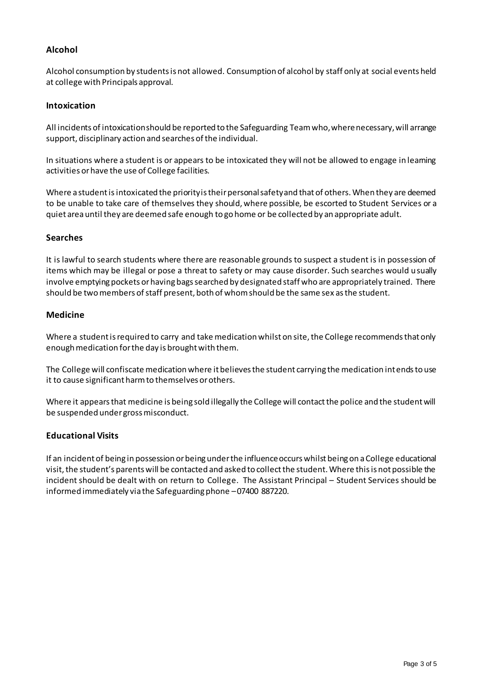### **Alcohol**

Alcohol consumption by students is not allowed. Consumption of alcohol by staff only at social events held at college with Principals approval.

#### **Intoxication**

All incidents of intoxication should be reported to the Safeguarding Team who, where necessary, will arrange support, disciplinary action and searches of the individual.

In situations where a student is or appears to be intoxicated they will not be allowed to engage in learning activities or have the use of College facilities.

Where a student is intoxicated the priority is their personal safety and that of others. When they are deemed to be unable to take care of themselves they should, where possible, be escorted to Student Services or a quiet area until they are deemed safe enough to go home or be collected by an appropriate adult.

#### **Searches**

It is lawful to search students where there are reasonable grounds to suspect a student is in possession of items which may be illegal or pose a threat to safety or may cause disorder. Such searches would usually involve emptying pockets or having bags searched by designated staff who are appropriately trained. There should be two members of staff present, both of whom should be the same sex as the student.

#### **Medicine**

Where a student is required to carry and take medication whilst on site, the College recommends that only enough medication for the day is brought with them.

The College will confiscate medication where it believes the student carrying the medication intends to use it to cause significant harm to themselves or others.

Where it appears that medicine is being sold illegally the College will contact the police and the student will be suspended under gross misconduct.

#### **Educational Visits**

If an incident of being in possession or being under the influence occurs whilst being on a College educational visit, the student's parents will be contacted and asked to collect the student. Where this is not possible the incident should be dealt with on return to College. The Assistant Principal – Student Services should be informed immediately via the Safeguarding phone –07400 887220.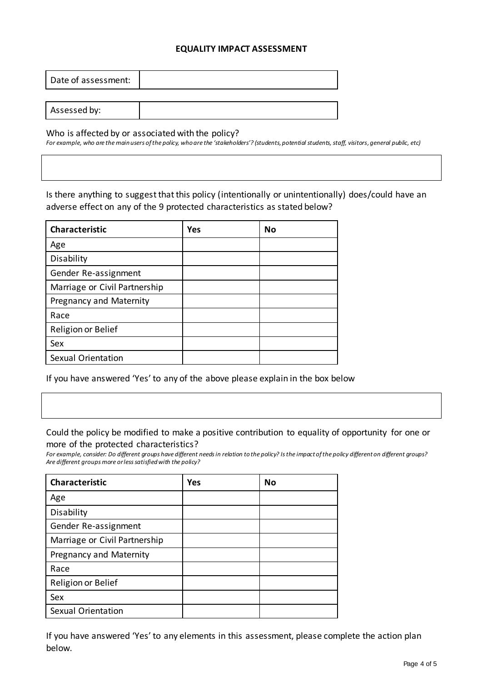#### **EQUALITY IMPACT ASSESSMENT**

| Date of assessment: |  |
|---------------------|--|
|                     |  |
| Assessed by:        |  |

Who is affected by or associated with the policy?

For example, who are the main users of the policy, who are the 'stakeholders'? (students, potential students, staff, visitors, general public, etc)

Is there anything to suggest that this policy (intentionally or unintentionally) does/could have an adverse effect on any of the 9 protected characteristics as stated below?

| <b>Characteristic</b>         | <b>Yes</b> | <b>No</b> |
|-------------------------------|------------|-----------|
| Age                           |            |           |
| Disability                    |            |           |
| Gender Re-assignment          |            |           |
| Marriage or Civil Partnership |            |           |
| Pregnancy and Maternity       |            |           |
| Race                          |            |           |
| Religion or Belief            |            |           |
| Sex                           |            |           |
| Sexual Orientation            |            |           |

If you have answered 'Yes' to any of the above please explain in the box below

#### Could the policy be modified to make a positive contribution to equality of opportunity for one or more of the protected characteristics?

*For example, consider: Do different groups have different needs in relation to the policy? Is the impact of the policy different on different groups? Are different groups more or less satisfied with the policy?*

| <b>Characteristic</b>         | Yes | No |
|-------------------------------|-----|----|
| Age                           |     |    |
| Disability                    |     |    |
| Gender Re-assignment          |     |    |
| Marriage or Civil Partnership |     |    |
| Pregnancy and Maternity       |     |    |
| Race                          |     |    |
| Religion or Belief            |     |    |
| Sex                           |     |    |
| Sexual Orientation            |     |    |

If you have answered 'Yes' to any elements in this assessment, please complete the action plan below.